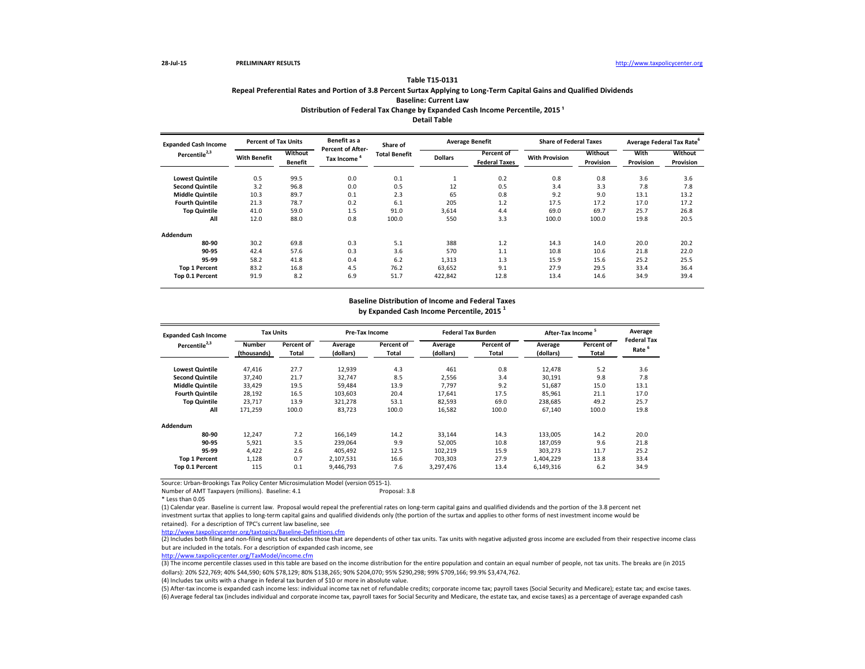# **Table T15-0131 Repeal Preferential Rates and Portion of 3.8 Percent Surtax Applying to Long-Term Capital Gains and Qualified Dividends Baseline: Current Law Distribution of Federal Tax Change by Expanded Cash Income Percentile, 2015<sup>1</sup>**

Source: Urban-Brookings Tax Policy Center Microsimulation Model (version 0515-1).

Number of AMT Taxpayers (millions). Baseline: 4.1

| <b>Expanded Cash Income</b> | <b>Percent of Tax Units</b> |                           | Benefit as a                                  | Share of             |                | <b>Average Benefit</b>             | <b>Share of Federal Taxes</b> |                      |                   | Average Federal Tax Rate <sup>6</sup> |
|-----------------------------|-----------------------------|---------------------------|-----------------------------------------------|----------------------|----------------|------------------------------------|-------------------------------|----------------------|-------------------|---------------------------------------|
| Percentile <sup>2,3</sup>   | <b>With Benefit</b>         | Without<br><b>Benefit</b> | <b>Percent of After-</b><br><b>Tax Income</b> | <b>Total Benefit</b> | <b>Dollars</b> | Percent of<br><b>Federal Taxes</b> | <b>With Provision</b>         | Without<br>Provision | With<br>Provision | Without<br>Provision                  |
| <b>Lowest Quintile</b>      | 0.5                         | 99.5                      | 0.0                                           | 0.1                  | $\perp$        | 0.2                                | 0.8                           | 0.8                  | 3.6               | 3.6                                   |
| <b>Second Quintile</b>      | 3.2                         | 96.8                      | 0.0                                           | 0.5                  | 12             | 0.5                                | 3.4                           | 3.3                  | 7.8               | 7.8                                   |
| <b>Middle Quintile</b>      | 10.3                        | 89.7                      | 0.1                                           | 2.3                  | 65             | 0.8                                | 9.2                           | 9.0                  | 13.1              | 13.2                                  |
| <b>Fourth Quintile</b>      | 21.3                        | 78.7                      | 0.2                                           | 6.1                  | 205            | 1.2                                | 17.5                          | 17.2                 | 17.0              | 17.2                                  |
| <b>Top Quintile</b>         | 41.0                        | 59.0                      | 1.5                                           | 91.0                 | 3,614          | 4.4                                | 69.0                          | 69.7                 | 25.7              | 26.8                                  |
| All                         | 12.0                        | 88.0                      | 0.8                                           | 100.0                | 550            | 3.3                                | 100.0                         | 100.0                | 19.8              | 20.5                                  |
| Addendum                    |                             |                           |                                               |                      |                |                                    |                               |                      |                   |                                       |
| 80-90                       | 30.2                        | 69.8                      | 0.3                                           | 5.1                  | 388            | 1.2                                | 14.3                          | 14.0                 | 20.0              | 20.2                                  |
| 90-95                       | 42.4                        | 57.6                      | 0.3                                           | 3.6                  | 570            | 1.1                                | 10.8                          | 10.6                 | 21.8              | 22.0                                  |
| 95-99                       | 58.2                        | 41.8                      | 0.4                                           | 6.2                  | 1,313          | 1.3                                | 15.9                          | 15.6                 | 25.2              | 25.5                                  |
| <b>Top 1 Percent</b>        | 83.2                        | 16.8                      | 4.5                                           | 76.2                 | 63,652         | 9.1                                | 27.9                          | 29.5                 | 33.4              | 36.4                                  |
| Top 0.1 Percent             | 91.9                        | 8.2                       | 6.9                                           | 51.7                 | 422,842        | 12.8                               | 13.4                          | 14.6                 | 34.9              | 39.4                                  |

\* Less than 0.05

(1) Calendar year. Baseline is current law. Proposal would repeal the preferential rates on long-term capital gains and qualified dividends and the portion of the 3.8 percent net investment surtax that applies to long-term capital gains and qualified dividends only (the portion of the surtax and applies to other forms of nest investment income would be retained). For a description of TPC's current law baseline, see

(2) Includes both filing and non-filing units but excludes those that are dependents of other tax units. Tax units with negative adjusted gross income are excluded from their respective income class but are included in the totals. For a description of expanded cash income, see

| <b>Expanded Cash Income</b> | <b>Tax Units</b> |              |           | <b>Pre-Tax Income</b> |           | <b>Federal Tax Burden</b> | After-Tax Income <sup>3</sup> |            | Average            |
|-----------------------------|------------------|--------------|-----------|-----------------------|-----------|---------------------------|-------------------------------|------------|--------------------|
| Percentile <sup>2,3</sup>   | <b>Number</b>    | Percent of   | Average   | Percent of            | Average   | Percent of                | Average                       | Percent of | <b>Federal Tax</b> |
|                             | (thousands)      | <b>Total</b> | (dollars) | Total                 | (dollars) | Total                     | (dollars)                     | Total      | Rate <sup>6</sup>  |
| <b>Lowest Quintile</b>      | 47,416           | 27.7         | 12,939    | 4.3                   | 461       | 0.8                       | 12,478                        | 5.2        | 3.6                |
| <b>Second Quintile</b>      | 37,240           | 21.7         | 32,747    | 8.5                   | 2,556     | 3.4                       | 30,191                        | 9.8        | 7.8                |
| <b>Middle Quintile</b>      | 33,429           | 19.5         | 59,484    | 13.9                  | 7,797     | 9.2                       | 51,687                        | 15.0       | 13.1               |
| <b>Fourth Quintile</b>      | 28,192           | 16.5         | 103,603   | 20.4                  | 17,641    | 17.5                      | 85,961                        | 21.1       | 17.0               |
| <b>Top Quintile</b>         | 23,717           | 13.9         | 321,278   | 53.1                  | 82,593    | 69.0                      | 238,685                       | 49.2       | 25.7               |
| All                         | 171,259          | 100.0        | 83,723    | 100.0                 | 16,582    | 100.0                     | 67,140                        | 100.0      | 19.8               |
| Addendum                    |                  |              |           |                       |           |                           |                               |            |                    |
| 80-90                       | 12,247           | 7.2          | 166,149   | 14.2                  | 33,144    | 14.3                      | 133,005                       | 14.2       | 20.0               |
| 90-95                       | 5,921            | 3.5          | 239,064   | 9.9                   | 52,005    | 10.8                      | 187,059                       | 9.6        | 21.8               |
| 95-99                       | 4,422            | 2.6          | 405,492   | 12.5                  | 102,219   | 15.9                      | 303,273                       | 11.7       | 25.2               |
| <b>Top 1 Percent</b>        | 1,128            | 0.7          | 2,107,531 | 16.6                  | 703,303   | 27.9                      | 1,404,229                     | 13.8       | 33.4               |
| Top 0.1 Percent             | 115              | 0.1          | 9,446,793 | 7.6                   | 3,297,476 | 13.4                      | 6,149,316                     | 6.2        | 34.9               |

<http://www.taxpolicycenter.org/taxtopics/Baseline-Definitions.cfm>

(3) The income percentile classes used in this table are based on the income distribution for the entire population and contain an equal number of people, not tax units. The breaks are (in 2015 dollars): 20% \$22,769; 40% \$44,590; 60% \$78,129; 80% \$138,265; 90% \$204,070; 95% \$290,298; 99% \$709,166; 99.9% \$3,474,762. (4) Includes tax units with a change in federal tax burden of \$10 or more in absolute value.

# **Detail Table**

# **Baseline Distribution of Income and Federal Taxes**

**by Expanded Cash Income Percentile, 2015 <sup>1</sup>**

<http://www.taxpolicycenter.org/TaxModel/income.cfm>

(6) Average federal tax (includes individual and corporate income tax, payroll taxes for Social Security and Medicare, the estate tax, and excise taxes) as a percentage of average expanded cash (5) After-tax income is expanded cash income less: individual income tax net of refundable credits; corporate income tax; payroll taxes (Social Security and Medicare); estate tax; and excise taxes.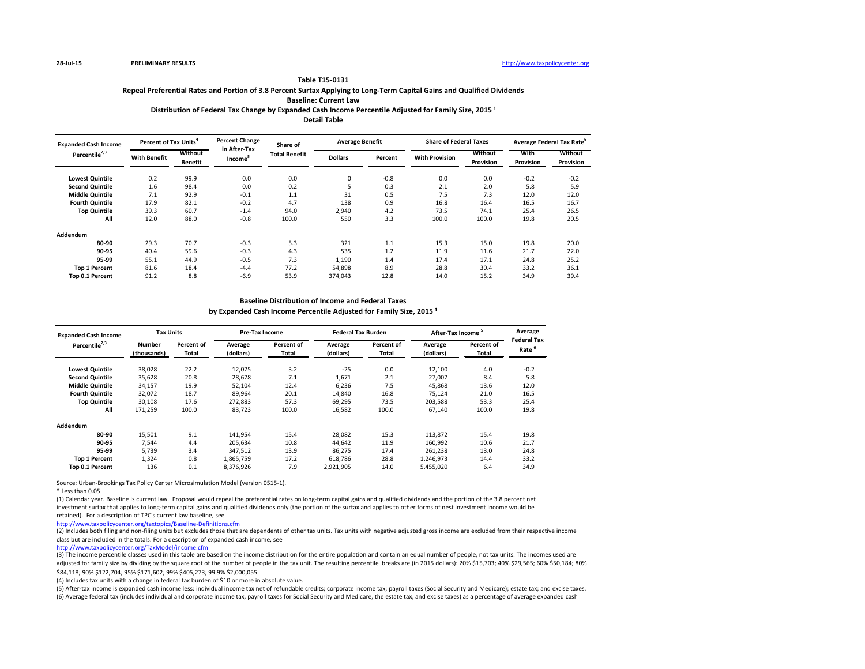# **Baseline: Current Law**

# Distribution of Federal Tax Change by Expanded Cash Income Percentile Adjusted for Family Size, 2015<sup>1</sup>

Source: Urban-Brookings Tax Policy Center Microsimulation Model (version 0515-1).

\* Less than 0.05

(2) Includes both filing and non-filing units but excludes those that are dependents of other tax units. Tax units with negative adjusted gross income are excluded from their respective income class but are included in the totals. For a description of expanded cash income, see

(1) Calendar year. Baseline is current law. Proposal would repeal the preferential rates on long-term capital gains and qualified dividends and the portion of the 3.8 percent net investment surtax that applies to long-term capital gains and qualified dividends only (the portion of the surtax and applies to other forms of nest investment income would be retained). For a description of TPC's current law baseline, see

(3) The income percentile classes used in this table are based on the income distribution for the entire population and contain an equal number of people, not tax units. The incomes used are adjusted for family size by dividing by the square root of the number of people in the tax unit. The resulting percentile breaks are (in 2015 dollars): 20% \$15,703; 40% \$29,565; 60% \$50,184; 80% \$84,118; 90% \$122,704; 95% \$171,602; 99% \$405,273; 99.9% \$2,000,055.

<http://www.taxpolicycenter.org/taxtopics/Baseline-Definitions.cfm>

(4) Includes tax units with a change in federal tax burden of \$10 or more in absolute value.

| <b>Expanded Cash Income</b> | Percent of Tax Units <sup>4</sup> |                           | <b>Percent Change</b><br>in After-Tax | Share of             | <b>Average Benefit</b> |         | <b>Share of Federal Taxes</b> |                      | Average Federal Tax Rate <sup>6</sup> |                             |
|-----------------------------|-----------------------------------|---------------------------|---------------------------------------|----------------------|------------------------|---------|-------------------------------|----------------------|---------------------------------------|-----------------------------|
| Percentile <sup>2,3</sup>   | <b>With Benefit</b>               | Without<br><b>Benefit</b> | Income                                | <b>Total Benefit</b> | <b>Dollars</b>         | Percent | <b>With Provision</b>         | Without<br>Provision | <b>With</b><br><b>Provision</b>       | Without<br><b>Provision</b> |
| <b>Lowest Quintile</b>      | 0.2                               | 99.9                      | 0.0                                   | 0.0                  | 0                      | $-0.8$  | 0.0                           | 0.0                  | $-0.2$                                | $-0.2$                      |
| <b>Second Quintile</b>      | 1.6                               | 98.4                      | 0.0                                   | 0.2                  | כ                      | 0.3     | 2.1                           | 2.0                  | 5.8                                   | 5.9                         |
| <b>Middle Quintile</b>      | 7.1                               | 92.9                      | $-0.1$                                | 1.1                  | 31                     | 0.5     | 7.5                           | 7.3                  | 12.0                                  | 12.0                        |
| <b>Fourth Quintile</b>      | 17.9                              | 82.1                      | $-0.2$                                | 4.7                  | 138                    | 0.9     | 16.8                          | 16.4                 | 16.5                                  | 16.7                        |
| <b>Top Quintile</b>         | 39.3                              | 60.7                      | $-1.4$                                | 94.0                 | 2,940                  | 4.2     | 73.5                          | 74.1                 | 25.4                                  | 26.5                        |
| All                         | 12.0                              | 88.0                      | $-0.8$                                | 100.0                | 550                    | 3.3     | 100.0                         | 100.0                | 19.8                                  | 20.5                        |
| Addendum                    |                                   |                           |                                       |                      |                        |         |                               |                      |                                       |                             |
| 80-90                       | 29.3                              | 70.7                      | $-0.3$                                | 5.3                  | 321                    | 1.1     | 15.3                          | 15.0                 | 19.8                                  | 20.0                        |
| 90-95                       | 40.4                              | 59.6                      | $-0.3$                                | 4.3                  | 535                    | 1.2     | 11.9                          | 11.6                 | 21.7                                  | 22.0                        |
| 95-99                       | 55.1                              | 44.9                      | $-0.5$                                | 7.3                  | 1,190                  | 1.4     | 17.4                          | 17.1                 | 24.8                                  | 25.2                        |
| <b>Top 1 Percent</b>        | 81.6                              | 18.4                      | $-4.4$                                | 77.2                 | 54,898                 | 8.9     | 28.8                          | 30.4                 | 33.2                                  | 36.1                        |
| <b>Top 0.1 Percent</b>      | 91.2                              | 8.8                       | $-6.9$                                | 53.9                 | 374,043                | 12.8    | 14.0                          | 15.2                 | 34.9                                  | 39.4                        |

| <b>Expanded Cash Income</b> | <b>Tax Units</b> |              | Pre-Tax Income |            | <b>Federal Tax Burden</b> |                   | After-Tax Income <sup>5</sup> |                   | Average            |
|-----------------------------|------------------|--------------|----------------|------------|---------------------------|-------------------|-------------------------------|-------------------|--------------------|
| Percentile <sup>2,3</sup>   | <b>Number</b>    | Percent of   | Average        | Percent of | Average                   | <b>Percent of</b> | Average                       | <b>Percent of</b> | <b>Federal Tax</b> |
|                             | (thousands)      | <b>Total</b> | (dollars)      | Total      | (dollars)                 | Total             | (dollars)                     | Total             | Rate <sup>6</sup>  |
| <b>Lowest Quintile</b>      | 38,028           | 22.2         | 12,075         | 3.2        | $-25$                     | 0.0               | 12,100                        | 4.0               | $-0.2$             |
| <b>Second Quintile</b>      | 35,628           | 20.8         | 28,678         | 7.1        | 1,671                     | 2.1               | 27,007                        | 8.4               | 5.8                |
| <b>Middle Quintile</b>      | 34,157           | 19.9         | 52,104         | 12.4       | 6,236                     | 7.5               | 45,868                        | 13.6              | 12.0               |
| <b>Fourth Quintile</b>      | 32,072           | 18.7         | 89,964         | 20.1       | 14,840                    | 16.8              | 75,124                        | 21.0              | 16.5               |
| <b>Top Quintile</b>         | 30,108           | 17.6         | 272,883        | 57.3       | 69,295                    | 73.5              | 203,588                       | 53.3              | 25.4               |
| All                         | 171,259          | 100.0        | 83,723         | 100.0      | 16,582                    | 100.0             | 67,140                        | 100.0             | 19.8               |
| <b>Addendum</b>             |                  |              |                |            |                           |                   |                               |                   |                    |
| 80-90                       | 15,501           | 9.1          | 141,954        | 15.4       | 28,082                    | 15.3              | 113,872                       | 15.4              | 19.8               |
| 90-95                       | 7,544            | 4.4          | 205,634        | 10.8       | 44,642                    | 11.9              | 160,992                       | 10.6              | 21.7               |
| 95-99                       | 5,739            | 3.4          | 347,512        | 13.9       | 86,275                    | 17.4              | 261,238                       | 13.0              | 24.8               |
| <b>Top 1 Percent</b>        | 1,324            | 0.8          | 1,865,759      | 17.2       | 618,786                   | 28.8              | 1,246,973                     | 14.4              | 33.2               |
| Top 0.1 Percent             | 136              | 0.1          | 8,376,926      | 7.9        | 2,921,905                 | 14.0              | 5,455,020                     | 6.4               | 34.9               |

### **Baseline Distribution of Income and Federal Taxes**

by Expanded Cash Income Percentile Adjusted for Family Size, 2015<sup>1</sup>

### **Table T15-0131**

**Detail Table**

# **Repeal Preferential Rates and Portion of 3.8 Percent Surtax Applying to Long-Term Capital Gains and Qualified Dividends**

(5) After-tax income is expanded cash income less: individual income tax net of refundable credits; corporate income tax; payroll taxes (Social Security and Medicare); estate tax; and excise taxes. (6) Average federal tax (includes individual and corporate income tax, payroll taxes for Social Security and Medicare, the estate tax, and excise taxes) as a percentage of average expanded cash

<http://www.taxpolicycenter.org/TaxModel/income.cfm>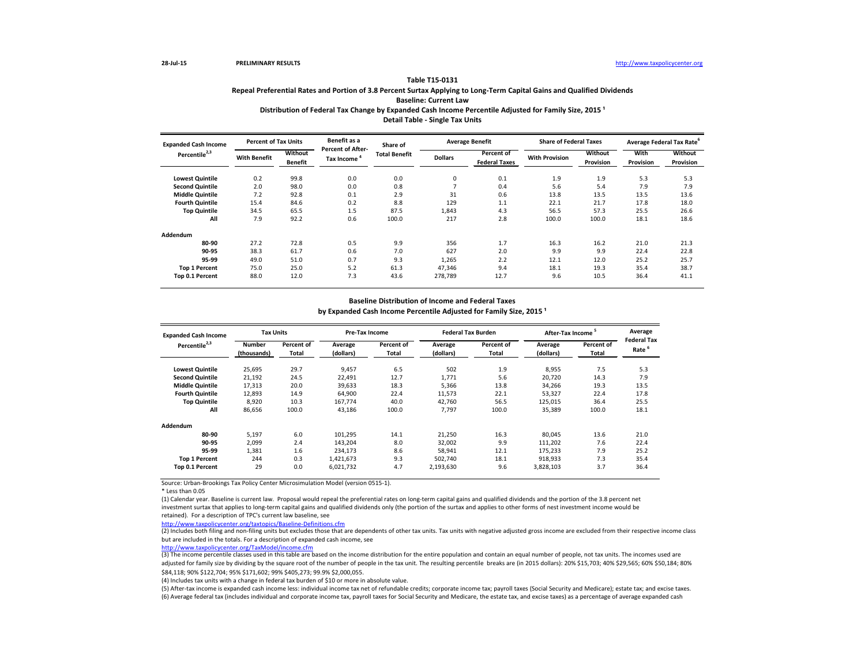# Distribution of Federal Tax Change by Expanded Cash Income Percentile Adjusted for Family Size, 2015<sup>1</sup> **Detail Table - Single Tax Units**

Source: Urban-Brookings Tax Policy Center Microsimulation Model (version 0515-1).

\* Less than 0.05

| <b>Expanded Cash Income</b> | <b>Percent of Tax Units</b> |                           | Benefit as a                                  | Share of             |                | <b>Average Benefit</b>                    | <b>Share of Federal Taxes</b> |                             |                   | Average Federal Tax Rate <sup>6</sup> |
|-----------------------------|-----------------------------|---------------------------|-----------------------------------------------|----------------------|----------------|-------------------------------------------|-------------------------------|-----------------------------|-------------------|---------------------------------------|
| Percentile <sup>2,3</sup>   | <b>With Benefit</b>         | Without<br><b>Benefit</b> | <b>Percent of After-</b><br><b>Tax Income</b> | <b>Total Benefit</b> | <b>Dollars</b> | <b>Percent of</b><br><b>Federal Taxes</b> | <b>With Provision</b>         | <b>Without</b><br>Provision | With<br>Provision | <b>Without</b><br>Provision           |
| <b>Lowest Quintile</b>      | 0.2                         | 99.8                      | 0.0                                           | 0.0                  | 0              | 0.1                                       | 1.9                           | 1.9                         | 5.3               | 5.3                                   |
| <b>Second Quintile</b>      | 2.0                         | 98.0                      | 0.0                                           | 0.8                  |                | 0.4                                       | 5.6                           | 5.4                         | 7.9               | 7.9                                   |
| <b>Middle Quintile</b>      | 7.2                         | 92.8                      | 0.1                                           | 2.9                  | 31             | 0.6                                       | 13.8                          | 13.5                        | 13.5              | 13.6                                  |
| <b>Fourth Quintile</b>      | 15.4                        | 84.6                      | 0.2                                           | 8.8                  | 129            | 1.1                                       | 22.1                          | 21.7                        | 17.8              | 18.0                                  |
| <b>Top Quintile</b>         | 34.5                        | 65.5                      | 1.5                                           | 87.5                 | 1,843          | 4.3                                       | 56.5                          | 57.3                        | 25.5              | 26.6                                  |
| All                         | 7.9                         | 92.2                      | 0.6                                           | 100.0                | 217            | 2.8                                       | 100.0                         | 100.0                       | 18.1              | 18.6                                  |
| Addendum                    |                             |                           |                                               |                      |                |                                           |                               |                             |                   |                                       |
| 80-90                       | 27.2                        | 72.8                      | 0.5                                           | 9.9                  | 356            | 1.7                                       | 16.3                          | 16.2                        | 21.0              | 21.3                                  |
| 90-95                       | 38.3                        | 61.7                      | 0.6                                           | 7.0                  | 627            | 2.0                                       | 9.9                           | 9.9                         | 22.4              | 22.8                                  |
| 95-99                       | 49.0                        | 51.0                      | 0.7                                           | 9.3                  | 1,265          | 2.2                                       | 12.1                          | 12.0                        | 25.2              | 25.7                                  |
| <b>Top 1 Percent</b>        | 75.0                        | 25.0                      | 5.2                                           | 61.3                 | 47,346         | 9.4                                       | 18.1                          | 19.3                        | 35.4              | 38.7                                  |
| Top 0.1 Percent             | 88.0                        | 12.0                      | 7.3                                           | 43.6                 | 278,789        | 12.7                                      | 9.6                           | 10.5                        | 36.4              | 41.1                                  |

(1) Calendar year. Baseline is current law. Proposal would repeal the preferential rates on long-term capital gains and qualified dividends and the portion of the 3.8 percent net investment surtax that applies to long-term capital gains and qualified dividends only (the portion of the surtax and applies to other forms of nest investment income would be retained). For a description of TPC's current law baseline, see

(2) Includes both filing and non-filing units but excludes those that are dependents of other tax units. Tax units with negative adjusted gross income are excluded from their respective income class but are included in the totals. For a description of expanded cash income, see

| <b>Expanded Cash Income</b> | <b>Tax Units</b> |                   | <b>Pre-Tax Income</b> |              |           | <b>Federal Tax Burden</b> | <b>After-Tax Income</b> |              | Average                                 |
|-----------------------------|------------------|-------------------|-----------------------|--------------|-----------|---------------------------|-------------------------|--------------|-----------------------------------------|
| Percentile <sup>2,3</sup>   | <b>Number</b>    | <b>Percent of</b> | Average               | Percent of   | Average   | Percent of                | Average                 | Percent of   | <b>Federal Tax</b><br>Rate <sup>6</sup> |
|                             | (thousands)      | Total             | (dollars)             | <b>Total</b> | (dollars) | Total                     | (dollars)               | <b>Total</b> |                                         |
| <b>Lowest Quintile</b>      | 25,695           | 29.7              | 9,457                 | 6.5          | 502       | 1.9                       | 8,955                   | 7.5          | 5.3                                     |
| <b>Second Quintile</b>      | 21,192           | 24.5              | 22,491                | 12.7         | 1,771     | 5.6                       | 20,720                  | 14.3         | 7.9                                     |
| <b>Middle Quintile</b>      | 17,313           | 20.0              | 39,633                | 18.3         | 5,366     | 13.8                      | 34,266                  | 19.3         | 13.5                                    |
| <b>Fourth Quintile</b>      | 12,893           | 14.9              | 64,900                | 22.4         | 11,573    | 22.1                      | 53,327                  | 22.4         | 17.8                                    |
| <b>Top Quintile</b>         | 8,920            | 10.3              | 167,774               | 40.0         | 42,760    | 56.5                      | 125,015                 | 36.4         | 25.5                                    |
| All                         | 86,656           | 100.0             | 43,186                | 100.0        | 7,797     | 100.0                     | 35,389                  | 100.0        | 18.1                                    |
| <b>Addendum</b>             |                  |                   |                       |              |           |                           |                         |              |                                         |
| 80-90                       | 5,197            | 6.0               | 101,295               | 14.1         | 21,250    | 16.3                      | 80,045                  | 13.6         | 21.0                                    |
| 90-95                       | 2,099            | 2.4               | 143,204               | 8.0          | 32,002    | 9.9                       | 111,202                 | 7.6          | 22.4                                    |
| 95-99                       | 1,381            | 1.6               | 234,173               | 8.6          | 58,941    | 12.1                      | 175,233                 | 7.9          | 25.2                                    |
| <b>Top 1 Percent</b>        | 244              | 0.3               | 1,421,673             | 9.3          | 502,740   | 18.1                      | 918,933                 | 7.3          | 35.4                                    |
| Top 0.1 Percent             | 29               | 0.0               | 6,021,732             | 4.7          | 2,193,630 | 9.6                       | 3,828,103               | 3.7          | 36.4                                    |

<http://www.taxpolicycenter.org/taxtopics/Baseline-Definitions.cfm>

(3) The income percentile classes used in this table are based on the income distribution for the entire population and contain an equal number of people, not tax units. The incomes used are adjusted for family size by dividing by the square root of the number of people in the tax unit. The resulting percentile breaks are (in 2015 dollars): 20% \$15,703; 40% \$29,565; 60% \$50,184; 80% \$84,118; 90% \$122,704; 95% \$171,602; 99% \$405,273; 99.9% \$2,000,055.

### **Table T15-0131**

# **Repeal Preferential Rates and Portion of 3.8 Percent Surtax Applying to Long-Term Capital Gains and Qualified Dividends**

**Baseline: Current Law**

## **Baseline Distribution of Income and Federal Taxes**

by Expanded Cash Income Percentile Adjusted for Family Size, 2015<sup>1</sup>

<http://www.taxpolicycenter.org/TaxModel/income.cfm>

(6) Average federal tax (includes individual and corporate income tax, payroll taxes for Social Security and Medicare, the estate tax, and excise taxes) as a percentage of average expanded cash (5) After-tax income is expanded cash income less: individual income tax net of refundable credits; corporate income tax; payroll taxes (Social Security and Medicare); estate tax; and excise taxes.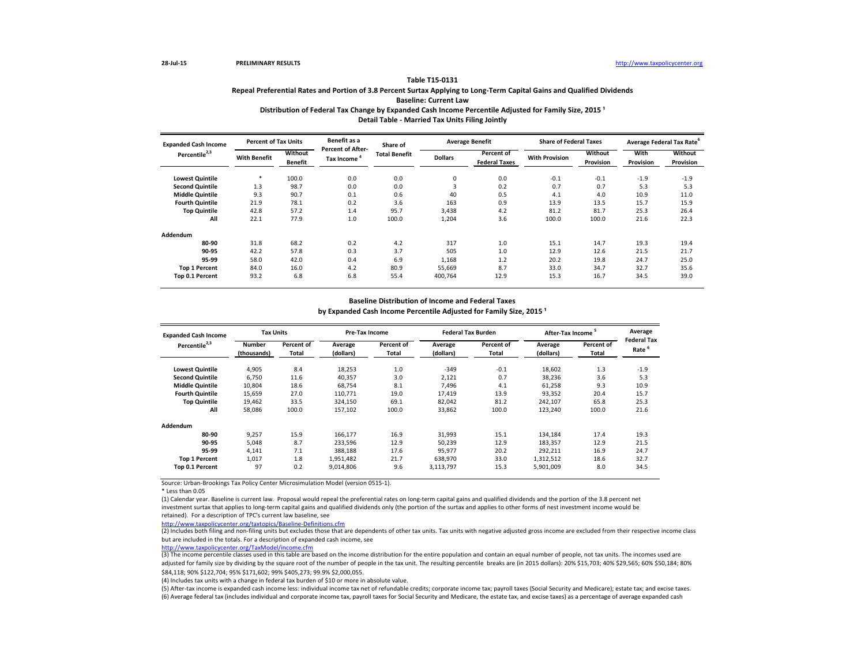# Distribution of Federal Tax Change by Expanded Cash Income Percentile Adjusted for Family Size, 2015<sup>1</sup> **Detail Table - Married Tax Units Filing Jointly**

Source: Urban-Brookings Tax Policy Center Microsimulation Model (version 0515-1).

\* Less than 0.05

| <b>Expanded Cash Income</b> | <b>Percent of Tax Units</b> |                                  | Benefit as a                                  | Share of             |                | <b>Average Benefit</b>             | <b>Share of Federal Taxes</b> |                      |                          | Average Federal Tax Rate <sup>6</sup> |
|-----------------------------|-----------------------------|----------------------------------|-----------------------------------------------|----------------------|----------------|------------------------------------|-------------------------------|----------------------|--------------------------|---------------------------------------|
| Percentile <sup>2,3</sup>   | <b>With Benefit</b>         | <b>Without</b><br><b>Benefit</b> | <b>Percent of After-</b><br><b>Tax Income</b> | <b>Total Benefit</b> | <b>Dollars</b> | Percent of<br><b>Federal Taxes</b> | <b>With Provision</b>         | Without<br>Provision | With<br><b>Provision</b> | <b>Without</b><br>Provision           |
| <b>Lowest Quintile</b>      | $\ast$                      | 100.0                            | 0.0                                           | 0.0                  | 0              | 0.0                                | $-0.1$                        | $-0.1$               | $-1.9$                   | $-1.9$                                |
| <b>Second Quintile</b>      | 1.3                         | 98.7                             | 0.0                                           | 0.0                  | 3              | 0.2                                | 0.7                           | 0.7                  | 5.3                      | 5.3                                   |
| <b>Middle Quintile</b>      | 9.3                         | 90.7                             | 0.1                                           | 0.6                  | 40             | 0.5                                | 4.1                           | 4.0                  | 10.9                     | 11.0                                  |
| <b>Fourth Quintile</b>      | 21.9                        | 78.1                             | 0.2                                           | 3.6                  | 163            | 0.9                                | 13.9                          | 13.5                 | 15.7                     | 15.9                                  |
| <b>Top Quintile</b>         | 42.8                        | 57.2                             | 1.4                                           | 95.7                 | 3,438          | 4.2                                | 81.2                          | 81.7                 | 25.3                     | 26.4                                  |
| All                         | 22.1                        | 77.9                             | 1.0                                           | 100.0                | 1,204          | 3.6                                | 100.0                         | 100.0                | 21.6                     | 22.3                                  |
| Addendum                    |                             |                                  |                                               |                      |                |                                    |                               |                      |                          |                                       |
| 80-90                       | 31.8                        | 68.2                             | 0.2                                           | 4.2                  | 317            | 1.0                                | 15.1                          | 14.7                 | 19.3                     | 19.4                                  |
| 90-95                       | 42.2                        | 57.8                             | 0.3                                           | 3.7                  | 505            | 1.0                                | 12.9                          | 12.6                 | 21.5                     | 21.7                                  |
| 95-99                       | 58.0                        | 42.0                             | 0.4                                           | 6.9                  | 1,168          | 1.2                                | 20.2                          | 19.8                 | 24.7                     | 25.0                                  |
| <b>Top 1 Percent</b>        | 84.0                        | 16.0                             | 4.2                                           | 80.9                 | 55,669         | 8.7                                | 33.0                          | 34.7                 | 32.7                     | 35.6                                  |
| Top 0.1 Percent             | 93.2                        | 6.8                              | 6.8                                           | 55.4                 | 400,764        | 12.9                               | 15.3                          | 16.7                 | 34.5                     | 39.0                                  |

(1) Calendar year. Baseline is current law. Proposal would repeal the preferential rates on long-term capital gains and qualified dividends and the portion of the 3.8 percent net investment surtax that applies to long-term capital gains and qualified dividends only (the portion of the surtax and applies to other forms of nest investment income would be retained). For a description of TPC's current law baseline, see

(2) Includes both filing and non-filing units but excludes those that are dependents of other tax units. Tax units with negative adjusted gross income are excluded from their respective income class but are included in the totals. For a description of expanded cash income, see

| <b>Expanded Cash Income</b> | <b>Tax Units</b> |            |           | <b>Pre-Tax Income</b> |           | <b>Federal Tax Burden</b> | After-Tax Income <sup>5</sup> |            | Average            |
|-----------------------------|------------------|------------|-----------|-----------------------|-----------|---------------------------|-------------------------------|------------|--------------------|
| Percentile <sup>2,3</sup>   | <b>Number</b>    | Percent of | Average   | Percent of            | Average   | Percent of                | Average                       | Percent of | <b>Federal Tax</b> |
|                             | (thousands)      | Total      | (dollars) | Total                 | (dollars) | <b>Total</b>              | (dollars)                     | Total      | Rate <sup>6</sup>  |
| <b>Lowest Quintile</b>      | 4,905            | 8.4        | 18,253    | 1.0                   | $-349$    | $-0.1$                    | 18,602                        | 1.3        | $-1.9$             |
| <b>Second Quintile</b>      | 6,750            | 11.6       | 40,357    | 3.0                   | 2,121     | 0.7                       | 38,236                        | 3.6        | 5.3                |
| <b>Middle Quintile</b>      | 10,804           | 18.6       | 68,754    | 8.1                   | 7,496     | 4.1                       | 61,258                        | 9.3        | 10.9               |
| <b>Fourth Quintile</b>      | 15,659           | 27.0       | 110,771   | 19.0                  | 17,419    | 13.9                      | 93,352                        | 20.4       | 15.7               |
| <b>Top Quintile</b>         | 19,462           | 33.5       | 324,150   | 69.1                  | 82,042    | 81.2                      | 242,107                       | 65.8       | 25.3               |
| All                         | 58,086           | 100.0      | 157,102   | 100.0                 | 33,862    | 100.0                     | 123,240                       | 100.0      | 21.6               |
| <b>Addendum</b>             |                  |            |           |                       |           |                           |                               |            |                    |
| 80-90                       | 9,257            | 15.9       | 166,177   | 16.9                  | 31,993    | 15.1                      | 134,184                       | 17.4       | 19.3               |
| 90-95                       | 5,048            | 8.7        | 233,596   | 12.9                  | 50,239    | 12.9                      | 183,357                       | 12.9       | 21.5               |
| 95-99                       | 4,141            | 7.1        | 388,188   | 17.6                  | 95,977    | 20.2                      | 292,211                       | 16.9       | 24.7               |
| <b>Top 1 Percent</b>        | 1,017            | 1.8        | 1,951,482 | 21.7                  | 638,970   | 33.0                      | 1,312,512                     | 18.6       | 32.7               |
| Top 0.1 Percent             | 97               | 0.2        | 9,014,806 | 9.6                   | 3,113,797 | 15.3                      | 5,901,009                     | 8.0        | 34.5               |

<http://www.taxpolicycenter.org/taxtopics/Baseline-Definitions.cfm>

(3) The income percentile classes used in this table are based on the income distribution for the entire population and contain an equal number of people, not tax units. The incomes used are adjusted for family size by dividing by the square root of the number of people in the tax unit. The resulting percentile breaks are (in 2015 dollars): 20% \$15,703; 40% \$29,565; 60% \$50,184; 80% \$84,118; 90% \$122,704; 95% \$171,602; 99% \$405,273; 99.9% \$2,000,055.

### **Table T15-0131**

# **Repeal Preferential Rates and Portion of 3.8 Percent Surtax Applying to Long-Term Capital Gains and Qualified Dividends Baseline: Current Law**

### **Baseline Distribution of Income and Federal Taxes**

by Expanded Cash Income Percentile Adjusted for Family Size, 2015<sup>1</sup>

<http://www.taxpolicycenter.org/TaxModel/income.cfm>

(6) Average federal tax (includes individual and corporate income tax, payroll taxes for Social Security and Medicare, the estate tax, and excise taxes) as a percentage of average expanded cash (5) After-tax income is expanded cash income less: individual income tax net of refundable credits; corporate income tax; payroll taxes (Social Security and Medicare); estate tax; and excise taxes.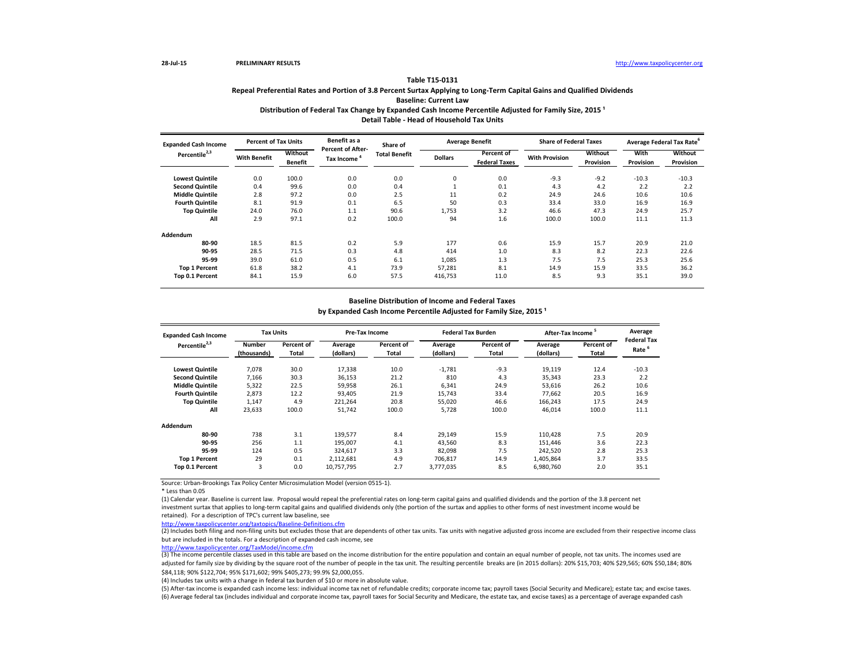# Distribution of Federal Tax Change by Expanded Cash Income Percentile Adjusted for Family Size, 2015<sup>1</sup> **Detail Table - Head of Household Tax Units**

| <b>Expanded Cash Income</b> | <b>Percent of Tax Units</b> |                           | Benefit as a<br><b>Percent of After-</b><br><b>Tax Income</b> | Share of             |                | <b>Average Benefit</b>             | <b>Share of Federal Taxes</b> |                      | Average Federal Tax Rate <sup>6</sup> |                                    |
|-----------------------------|-----------------------------|---------------------------|---------------------------------------------------------------|----------------------|----------------|------------------------------------|-------------------------------|----------------------|---------------------------------------|------------------------------------|
| Percentile <sup>2,3</sup>   | <b>With Benefit</b>         | Without<br><b>Benefit</b> |                                                               | <b>Total Benefit</b> | <b>Dollars</b> | Percent of<br><b>Federal Taxes</b> | <b>With Provision</b>         | Without<br>Provision | <b>With</b><br><b>Provision</b>       | <b>Without</b><br><b>Provision</b> |
| <b>Lowest Quintile</b>      | 0.0                         | 100.0                     | 0.0                                                           | 0.0                  | 0              | 0.0                                | $-9.3$                        | $-9.2$               | $-10.3$                               | $-10.3$                            |
| <b>Second Quintile</b>      | 0.4                         | 99.6                      | 0.0                                                           | 0.4                  |                | 0.1                                | 4.3                           | 4.2                  | 2.2                                   | 2.2                                |
| <b>Middle Quintile</b>      | 2.8                         | 97.2                      | 0.0                                                           | 2.5                  | 11             | 0.2                                | 24.9                          | 24.6                 | 10.6                                  | 10.6                               |
| <b>Fourth Quintile</b>      | 8.1                         | 91.9                      | 0.1                                                           | 6.5                  | 50             | 0.3                                | 33.4                          | 33.0                 | 16.9                                  | 16.9                               |
| <b>Top Quintile</b>         | 24.0                        | 76.0                      | 1.1                                                           | 90.6                 | 1,753          | 3.2                                | 46.6                          | 47.3                 | 24.9                                  | 25.7                               |
| All                         | 2.9                         | 97.1                      | 0.2                                                           | 100.0                | 94             | 1.6                                | 100.0                         | 100.0                | 11.1                                  | 11.3                               |
| <b>Addendum</b>             |                             |                           |                                                               |                      |                |                                    |                               |                      |                                       |                                    |
| 80-90                       | 18.5                        | 81.5                      | 0.2                                                           | 5.9                  | 177            | 0.6                                | 15.9                          | 15.7                 | 20.9                                  | 21.0                               |
| 90-95                       | 28.5                        | 71.5                      | 0.3                                                           | 4.8                  | 414            | 1.0                                | 8.3                           | 8.2                  | 22.3                                  | 22.6                               |
| 95-99                       | 39.0                        | 61.0                      | 0.5                                                           | 6.1                  | 1,085          | 1.3                                | 7.5                           | 7.5                  | 25.3                                  | 25.6                               |
| <b>Top 1 Percent</b>        | 61.8                        | 38.2                      | 4.1                                                           | 73.9                 | 57,281         | 8.1                                | 14.9                          | 15.9                 | 33.5                                  | 36.2                               |
| Top 0.1 Percent             | 84.1                        | 15.9                      | 6.0                                                           | 57.5                 | 416,753        | 11.0                               | 8.5                           | 9.3                  | 35.1                                  | 39.0                               |

Source: Urban-Brookings Tax Policy Center Microsimulation Model (version 0515-1).

\* Less than 0.05

(1) Calendar year. Baseline is current law. Proposal would repeal the preferential rates on long-term capital gains and qualified dividends and the portion of the 3.8 percent net investment surtax that applies to long-term capital gains and qualified dividends only (the portion of the surtax and applies to other forms of nest investment income would be retained). For a description of TPC's current law baseline, see

(2) Includes both filing and non-filing units but excludes those that are dependents of other tax units. Tax units with negative adjusted gross income are excluded from their respective income class but are included in the totals. For a description of expanded cash income, see

| <b>Expanded Cash Income</b> | <b>Tax Units</b>             |                     | <b>Pre-Tax Income</b> |                     |                      | <b>Federal Tax Burden</b> | <b>After-Tax Income</b> |                     | Average                                 |
|-----------------------------|------------------------------|---------------------|-----------------------|---------------------|----------------------|---------------------------|-------------------------|---------------------|-----------------------------------------|
| Percentile <sup>2,3</sup>   | <b>Number</b><br>(thousands) | Percent of<br>Total | Average<br>(dollars)  | Percent of<br>Total | Average<br>(dollars) | Percent of<br>Total       | Average<br>(dollars)    | Percent of<br>Total | <b>Federal Tax</b><br>Rate <sup>6</sup> |
| <b>Lowest Quintile</b>      | 7,078                        | 30.0                | 17,338                | 10.0                | $-1,781$             | $-9.3$                    | 19,119                  | 12.4                | $-10.3$                                 |
| <b>Second Quintile</b>      | 7,166                        | 30.3                | 36,153                | 21.2                | 810                  | 4.3                       | 35,343                  | 23.3                | 2.2                                     |
| <b>Middle Quintile</b>      | 5,322                        | 22.5                | 59,958                | 26.1                | 6,341                | 24.9                      | 53,616                  | 26.2                | 10.6                                    |
| <b>Fourth Quintile</b>      | 2,873                        | 12.2                | 93,405                | 21.9                | 15,743               | 33.4                      | 77,662                  | 20.5                | 16.9                                    |
| <b>Top Quintile</b>         | 1,147                        | 4.9                 | 221,264               | 20.8                | 55,020               | 46.6                      | 166,243                 | 17.5                | 24.9                                    |
| All                         | 23,633                       | 100.0               | 51,742                | 100.0               | 5,728                | 100.0                     | 46,014                  | 100.0               | 11.1                                    |
| Addendum                    |                              |                     |                       |                     |                      |                           |                         |                     |                                         |
| 80-90                       | 738                          | 3.1                 | 139,577               | 8.4                 | 29,149               | 15.9                      | 110,428                 | 7.5                 | 20.9                                    |
| 90-95                       | 256                          | 1.1                 | 195,007               | 4.1                 | 43,560               | 8.3                       | 151,446                 | 3.6                 | 22.3                                    |
| 95-99                       | 124                          | 0.5                 | 324,617               | 3.3                 | 82,098               | 7.5                       | 242,520                 | 2.8                 | 25.3                                    |
| <b>Top 1 Percent</b>        | 29                           | 0.1                 | 2,112,681             | 4.9                 | 706,817              | 14.9                      | 1,405,864               | 3.7                 | 33.5                                    |
| Top 0.1 Percent             | 3                            | 0.0                 | 10,757,795            | 2.7                 | 3,777,035            | 8.5                       | 6,980,760               | 2.0                 | 35.1                                    |

<http://www.taxpolicycenter.org/taxtopics/Baseline-Definitions.cfm>

### **Table T15-0131**

(3) The income percentile classes used in this table are based on the income distribution for the entire population and contain an equal number of people, not tax units. The incomes used are adjusted for family size by dividing by the square root of the number of people in the tax unit. The resulting percentile breaks are (in 2015 dollars): 20% \$15,703; 40% \$29,565; 60% \$50,184; 80% \$84,118; 90% \$122,704; 95% \$171,602; 99% \$405,273; 99.9% \$2,000,055.

# **Repeal Preferential Rates and Portion of 3.8 Percent Surtax Applying to Long-Term Capital Gains and Qualified Dividends Baseline: Current Law**

## **Baseline Distribution of Income and Federal Taxes**

by Expanded Cash Income Percentile Adjusted for Family Size, 2015<sup>1</sup>

<http://www.taxpolicycenter.org/TaxModel/income.cfm>

(6) Average federal tax (includes individual and corporate income tax, payroll taxes for Social Security and Medicare, the estate tax, and excise taxes) as a percentage of average expanded cash (5) After-tax income is expanded cash income less: individual income tax net of refundable credits; corporate income tax; payroll taxes (Social Security and Medicare); estate tax; and excise taxes.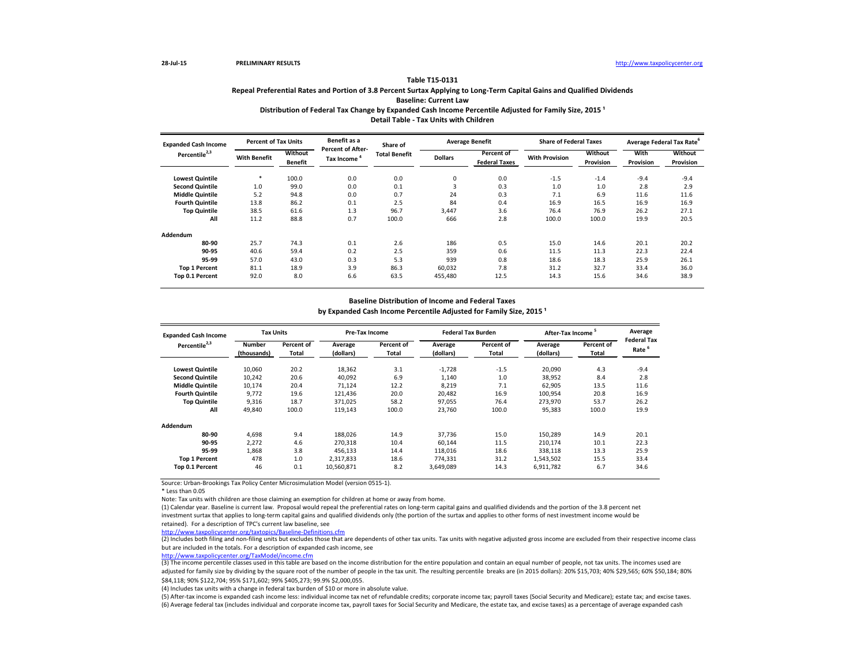Distribution of Federal Tax Change by Expanded Cash Income Percentile Adjusted for Family Size, 2015<sup>1</sup> **Detail Table - Tax Units with Children**

Source: Urban-Brookings Tax Policy Center Microsimulation Model (version 0515-1).

\* Less than 0.05

| <b>Expanded Cash Income</b> | <b>Percent of Tax Units</b> |                                  | Benefit as a                                  | Share of             |                | <b>Average Benefit</b>             | <b>Share of Federal Taxes</b> |                      |                          | Average Federal Tax Rate <sup>6</sup> |
|-----------------------------|-----------------------------|----------------------------------|-----------------------------------------------|----------------------|----------------|------------------------------------|-------------------------------|----------------------|--------------------------|---------------------------------------|
| Percentile <sup>2,3</sup>   | <b>With Benefit</b>         | <b>Without</b><br><b>Benefit</b> | <b>Percent of After-</b><br><b>Tax Income</b> | <b>Total Benefit</b> | <b>Dollars</b> | Percent of<br><b>Federal Taxes</b> | <b>With Provision</b>         | Without<br>Provision | With<br><b>Provision</b> | <b>Without</b><br>Provision           |
| <b>Lowest Quintile</b>      | $\ast$                      | 100.0                            | 0.0                                           | 0.0                  | 0              | 0.0                                | $-1.5$                        | $-1.4$               | $-9.4$                   | $-9.4$                                |
| <b>Second Quintile</b>      | 1.0                         | 99.0                             | 0.0                                           | 0.1                  | 3              | 0.3                                | 1.0                           | 1.0                  | 2.8                      | 2.9                                   |
| <b>Middle Quintile</b>      | 5.2                         | 94.8                             | 0.0                                           | 0.7                  | 24             | 0.3                                | 7.1                           | 6.9                  | 11.6                     | 11.6                                  |
| <b>Fourth Quintile</b>      | 13.8                        | 86.2                             | 0.1                                           | 2.5                  | 84             | 0.4                                | 16.9                          | 16.5                 | 16.9                     | 16.9                                  |
| <b>Top Quintile</b>         | 38.5                        | 61.6                             | 1.3                                           | 96.7                 | 3,447          | 3.6                                | 76.4                          | 76.9                 | 26.2                     | 27.1                                  |
| All                         | 11.2                        | 88.8                             | 0.7                                           | 100.0                | 666            | 2.8                                | 100.0                         | 100.0                | 19.9                     | 20.5                                  |
| Addendum                    |                             |                                  |                                               |                      |                |                                    |                               |                      |                          |                                       |
| 80-90                       | 25.7                        | 74.3                             | 0.1                                           | 2.6                  | 186            | 0.5                                | 15.0                          | 14.6                 | 20.1                     | 20.2                                  |
| 90-95                       | 40.6                        | 59.4                             | 0.2                                           | 2.5                  | 359            | 0.6                                | 11.5                          | 11.3                 | 22.3                     | 22.4                                  |
| 95-99                       | 57.0                        | 43.0                             | 0.3                                           | 5.3                  | 939            | 0.8                                | 18.6                          | 18.3                 | 25.9                     | 26.1                                  |
| <b>Top 1 Percent</b>        | 81.1                        | 18.9                             | 3.9                                           | 86.3                 | 60,032         | 7.8                                | 31.2                          | 32.7                 | 33.4                     | 36.0                                  |
| Top 0.1 Percent             | 92.0                        | 8.0                              | 6.6                                           | 63.5                 | 455,480        | 12.5                               | 14.3                          | 15.6                 | 34.6                     | 38.9                                  |

Note: Tax units with children are those claiming an exemption for children at home or away from home.

(2) Includes both filing and non-filing units but excludes those that are dependents of other tax units. Tax units with negative adjusted gross income are excluded from their respective income class but are included in the totals. For a description of expanded cash income, see

(1) Calendar year. Baseline is current law. Proposal would repeal the preferential rates on long-term capital gains and qualified dividends and the portion of the 3.8 percent net investment surtax that applies to long-term capital gains and qualified dividends only (the portion of the surtax and applies to other forms of nest investment income would be retained). For a description of TPC's current law baseline, see

| <b>Expanded Cash Income</b> | <b>Tax Units</b> |              | <b>Pre-Tax Income</b> |              |           | <b>Federal Tax Burden</b> | After-Tax Income <sup>5</sup> |            | Average            |
|-----------------------------|------------------|--------------|-----------------------|--------------|-----------|---------------------------|-------------------------------|------------|--------------------|
| Percentile <sup>2,3</sup>   | <b>Number</b>    | Percent of   | Average               | Percent of   | Average   | <b>Percent of</b>         | Average                       | Percent of | <b>Federal Tax</b> |
|                             | (thousands)      | <b>Total</b> | (dollars)             | <b>Total</b> | (dollars) | <b>Total</b>              | (dollars)                     | Total      | Rate <sup>6</sup>  |
| <b>Lowest Quintile</b>      | 10,060           | 20.2         | 18,362                | 3.1          | $-1,728$  | $-1.5$                    | 20,090                        | 4.3        | $-9.4$             |
| <b>Second Quintile</b>      | 10,242           | 20.6         | 40,092                | 6.9          | 1,140     | 1.0                       | 38,952                        | 8.4        | 2.8                |
| <b>Middle Quintile</b>      | 10,174           | 20.4         | 71,124                | 12.2         | 8,219     | 7.1                       | 62,905                        | 13.5       | 11.6               |
| <b>Fourth Quintile</b>      | 9,772            | 19.6         | 121,436               | 20.0         | 20,482    | 16.9                      | 100,954                       | 20.8       | 16.9               |
| <b>Top Quintile</b>         | 9,316            | 18.7         | 371,025               | 58.2         | 97,055    | 76.4                      | 273,970                       | 53.7       | 26.2               |
| All                         | 49,840           | 100.0        | 119,143               | 100.0        | 23,760    | 100.0                     | 95,383                        | 100.0      | 19.9               |
| Addendum                    |                  |              |                       |              |           |                           |                               |            |                    |
| 80-90                       | 4,698            | 9.4          | 188,026               | 14.9         | 37,736    | 15.0                      | 150,289                       | 14.9       | 20.1               |
| 90-95                       | 2,272            | 4.6          | 270,318               | 10.4         | 60,144    | 11.5                      | 210,174                       | 10.1       | 22.3               |
| 95-99                       | 1,868            | 3.8          | 456,133               | 14.4         | 118,016   | 18.6                      | 338,118                       | 13.3       | 25.9               |
| <b>Top 1 Percent</b>        | 478              | 1.0          | 2,317,833             | 18.6         | 774,331   | 31.2                      | 1,543,502                     | 15.5       | 33.4               |
| Top 0.1 Percent             | 46               | 0.1          | 10,560,871            | 8.2          | 3,649,089 | 14.3                      | 6,911,782                     | 6.7        | 34.6               |

(3) The income percentile classes used in this table are based on the income distribution for the entire population and contain an equal number of people, not tax units. The incomes used are adjusted for family size by dividing by the square root of the number of people in the tax unit. The resulting percentile breaks are (in 2015 dollars): 20% \$15,703; 40% \$29,565; 60% \$50,184; 80% \$84,118; 90% \$122,704; 95% \$171,602; 99% \$405,273; 99.9% \$2,000,055.

<http://www.taxpolicycenter.org/taxtopics/Baseline-Definitions.cfm>

### **Table T15-0131**

# **Repeal Preferential Rates and Portion of 3.8 Percent Surtax Applying to Long-Term Capital Gains and Qualified Dividends Baseline: Current Law**

### **Baseline Distribution of Income and Federal Taxes**

by Expanded Cash Income Percentile Adjusted for Family Size, 2015<sup>1</sup>

<http://www.taxpolicycenter.org/TaxModel/income.cfm>

(6) Average federal tax (includes individual and corporate income tax, payroll taxes for Social Security and Medicare, the estate tax, and excise taxes) as a percentage of average expanded cash (5) After-tax income is expanded cash income less: individual income tax net of refundable credits; corporate income tax; payroll taxes (Social Security and Medicare); estate tax; and excise taxes.